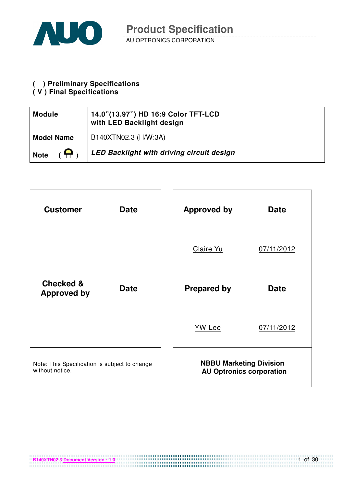

# **( ) Preliminary Specifications**

#### **( V ) Final Specifications**

| <b>Module</b>                 | 14.0"(13.97") HD 16:9 Color TFT-LCD<br>with LED Backlight design |
|-------------------------------|------------------------------------------------------------------|
| <b>Model Name</b>             | B140XTN02.3 (H/W:3A)                                             |
| $\overline{a}$<br><b>Note</b> | <b>LED Backlight with driving circuit design</b>                 |

| <b>Customer</b>                                                  | <b>Date</b> | <b>Approved by</b>             | <b>Date</b>                     |
|------------------------------------------------------------------|-------------|--------------------------------|---------------------------------|
|                                                                  |             | Claire Yu                      | 07/11/2012                      |
| <b>Checked &amp;</b><br><b>Approved by</b>                       | <b>Date</b> | <b>Prepared by</b>             | <b>Date</b>                     |
|                                                                  |             | <b>YW Lee</b>                  | 07/11/2012                      |
| Note: This Specification is subject to change<br>without notice. |             | <b>NBBU Marketing Division</b> | <b>AU Optronics corporation</b> |

**B140XTN02.3 Document Version : 1.0**

1 of 30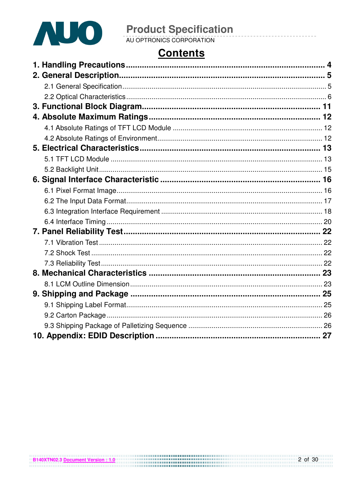

# **Contents**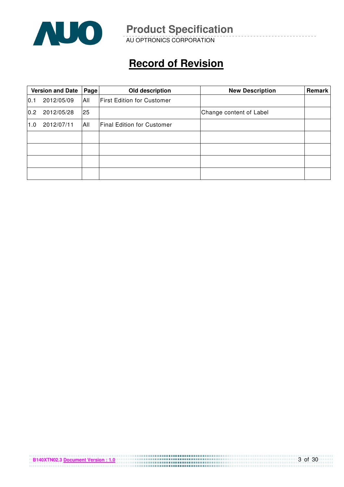

AU OPTRONICS CORPORATION

# **Record of Revision**

|      | <b>Version and Date</b> | Page       | Old description                   | <b>New Description</b>  | Remark |
|------|-------------------------|------------|-----------------------------------|-------------------------|--------|
| 10.1 | 2012/05/09              | <b>All</b> | <b>First Edition for Customer</b> |                         |        |
| 0.2  | 2012/05/28              | 25         |                                   | Change content of Label |        |
| 1.0  | 2012/07/11              | IAII       | <b>Final Edition for Customer</b> |                         |        |
|      |                         |            |                                   |                         |        |
|      |                         |            |                                   |                         |        |
|      |                         |            |                                   |                         |        |
|      |                         |            |                                   |                         |        |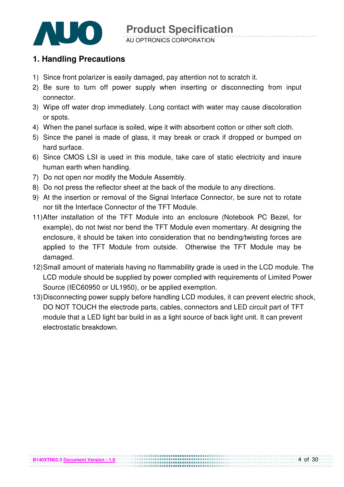

#### **1. Handling Precautions**

- 1) Since front polarizer is easily damaged, pay attention not to scratch it.
- 2) Be sure to turn off power supply when inserting or disconnecting from input connector.
- 3) Wipe off water drop immediately. Long contact with water may cause discoloration or spots.
- 4) When the panel surface is soiled, wipe it with absorbent cotton or other soft cloth.
- 5) Since the panel is made of glass, it may break or crack if dropped or bumped on hard surface.
- 6) Since CMOS LSI is used in this module, take care of static electricity and insure human earth when handling.
- 7) Do not open nor modify the Module Assembly.
- 8) Do not press the reflector sheet at the back of the module to any directions.
- 9) At the insertion or removal of the Signal Interface Connector, be sure not to rotate nor tilt the Interface Connector of the TFT Module.
- 11) After installation of the TFT Module into an enclosure (Notebook PC Bezel, for example), do not twist nor bend the TFT Module even momentary. At designing the enclosure, it should be taken into consideration that no bending/twisting forces are applied to the TFT Module from outside. Otherwise the TFT Module may be damaged.
- 12) Small amount of materials having no flammability grade is used in the LCD module. The LCD module should be supplied by power complied with requirements of Limited Power Source (IEC60950 or UL1950), or be applied exemption.
- 13) Disconnecting power supply before handling LCD modules, it can prevent electric shock, DO NOT TOUCH the electrode parts, cables, connectors and LED circuit part of TFT module that a LED light bar build in as a light source of back light unit. It can prevent electrostatic breakdown.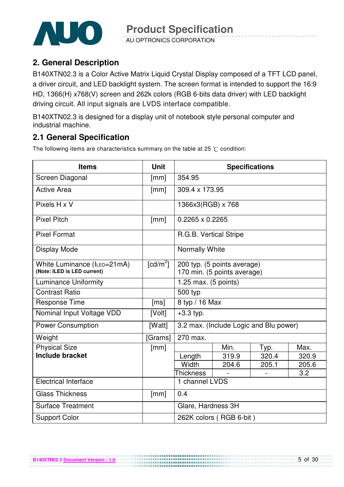

AU OPTRONICS CORPORATION

### **2. General Description**

B140XTN02.3 is a Color Active Matrix Liquid Crystal Display composed of a TFT LCD panel, a driver circuit, and LED backlight system. The screen format is intended to support the 16:9 HD, 1366(H) x768(V) screen and 262k colors (RGB 6-bits data driver) with LED backlight driving circuit. All input signals are LVDS interface compatible.

B140XTN02.3 is designed for a display unit of notebook style personal computer and industrial machine.

### **2.1 General Specification**

**B140XTN02.3 Document Version : 1.0**

The following items are characteristics summary on the table at 25  $\degree$ C condition:

| <b>Items</b>                                               | <b>Unit</b>            | <b>Specifications</b>                                      |                                        |       |       |  |
|------------------------------------------------------------|------------------------|------------------------------------------------------------|----------------------------------------|-------|-------|--|
| Screen Diagonal                                            | [mm]                   | 354.95                                                     |                                        |       |       |  |
| <b>Active Area</b>                                         | [mm]                   | 309.4 x 173.95                                             |                                        |       |       |  |
| Pixels H x V                                               |                        | 1366x3(RGB) x 768                                          |                                        |       |       |  |
| <b>Pixel Pitch</b>                                         | [mm]                   | $0.2265 \times 0.2265$                                     |                                        |       |       |  |
| <b>Pixel Format</b>                                        |                        | R.G.B. Vertical Stripe                                     |                                        |       |       |  |
| Display Mode                                               |                        | Normally White                                             |                                        |       |       |  |
| White Luminance (ILED=21mA)<br>(Note: ILED is LED current) | $\lceil cd/m^2 \rceil$ | 200 typ. (5 points average)<br>170 min. (5 points average) |                                        |       |       |  |
| <b>Luminance Uniformity</b>                                |                        | 1.25 max. (5 points)                                       |                                        |       |       |  |
| <b>Contrast Ratio</b>                                      |                        | 500 typ                                                    |                                        |       |       |  |
| <b>Response Time</b>                                       | [ms]                   | 8 typ / 16 Max                                             |                                        |       |       |  |
| Nominal Input Voltage VDD                                  | [Volt]                 | $+3.3$ typ.                                                |                                        |       |       |  |
| <b>Power Consumption</b>                                   | [Watt]                 |                                                            | 3.2 max. (Include Logic and Blu power) |       |       |  |
| Weight                                                     | [Grams]                | 270 max.                                                   |                                        |       |       |  |
| <b>Physical Size</b>                                       | [mm]                   |                                                            | Min.                                   | Typ.  | Max.  |  |
| Include bracket                                            |                        | Length                                                     | 319.9                                  | 320.4 | 320.9 |  |
|                                                            |                        | Width                                                      | 204.6                                  | 205.1 | 205.6 |  |
|                                                            |                        | <b>Thickness</b><br>3.2                                    |                                        |       |       |  |
| <b>Electrical Interface</b>                                |                        | 1 channel LVDS                                             |                                        |       |       |  |
| <b>Glass Thickness</b>                                     | [mm]                   | 0.4                                                        |                                        |       |       |  |
| <b>Surface Treatment</b>                                   |                        | Glare, Hardness 3H                                         |                                        |       |       |  |
| <b>Support Color</b>                                       |                        |                                                            | 262K colors (RGB 6-bit)                |       |       |  |

...................................

5 of 30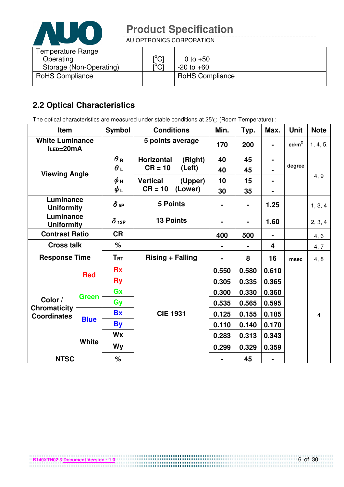

AU OPTRONICS CORPORATION

| Temperature Range<br>Operating | $\mathsf{I}^\circ\mathsf{C}$  | 0 to $+50$             |
|--------------------------------|-------------------------------|------------------------|
| Storage (Non-Operating)        | $\mathsf{I}^\circ\mathsf{Cl}$ | $-20$ to $+60$         |
| <b>RoHS Compliance</b>         |                               | <b>RoHS Compliance</b> |

### **2.2 Optical Characteristics**

The optical characteristics are measured under stable conditions at 25°C (Room Temperature) :

| Item                                      |              | <b>Symbol</b>              | <b>Conditions</b>            | Min.  | Typ.  | Max.                    | Unit              | <b>Note</b>    |
|-------------------------------------------|--------------|----------------------------|------------------------------|-------|-------|-------------------------|-------------------|----------------|
| <b>White Luminance</b><br>ILED=20mA       |              |                            | 5 points average             | 170   | 200   |                         | cd/m <sup>2</sup> | 1, 4, 5.       |
|                                           |              | $\bm{\theta}$ R            | <b>Horizontal</b><br>(Right) | 40    | 45    |                         |                   |                |
|                                           |              | $\theta_L$                 | $CR = 10$<br>(Left)          | 40    | 45    |                         | degree            |                |
| <b>Viewing Angle</b>                      |              | ψн                         | <b>Vertical</b><br>(Upper)   | 10    | 15    |                         |                   | 4, 9           |
|                                           |              | $\phi_L$                   | $CR = 10$<br>(Lower)         | 30    | 35    |                         |                   |                |
| Luminance<br><b>Uniformity</b>            |              | $\delta$ 5P                | <b>5 Points</b>              |       | ۰     | 1.25                    |                   | 1, 3, 4        |
| Luminance<br><b>Uniformity</b>            |              | $\delta$ 13P               | <b>13 Points</b>             |       |       | 1.60                    |                   | 2, 3, 4        |
| <b>Contrast Ratio</b>                     |              | <b>CR</b>                  |                              | 400   | 500   | $\blacksquare$          |                   | 4, 6           |
| <b>Cross talk</b>                         |              | %                          |                              |       |       | $\overline{\mathbf{4}}$ |                   | 4, 7           |
| <b>Response Time</b>                      |              | $\mathsf{T}_{\mathsf{RT}}$ | <b>Rising + Falling</b>      |       | 8     | 16                      | msec              | 4, 8           |
|                                           | <b>Red</b>   | <b>Rx</b>                  |                              | 0.550 | 0.580 | 0.610                   |                   |                |
|                                           |              | <b>Ry</b>                  |                              | 0.305 | 0.335 | 0.365                   |                   |                |
|                                           |              | Gx                         |                              | 0.300 | 0.330 | 0.360                   |                   |                |
| Color /                                   | <b>Green</b> | Gy                         |                              | 0.535 | 0.565 | 0.595                   |                   |                |
| <b>Chromaticity</b><br><b>Coordinates</b> |              | <b>Bx</b>                  | <b>CIE 1931</b>              | 0.125 | 0.155 | 0.185                   |                   | $\overline{4}$ |
|                                           | <b>Blue</b>  | <b>By</b>                  |                              | 0.110 | 0.140 | 0.170                   |                   |                |
|                                           |              | Wx                         |                              | 0.283 | 0.313 | 0.343                   |                   |                |
|                                           | <b>White</b> | Wy                         |                              | 0.299 | 0.329 | 0.359                   |                   |                |
| <b>NTSC</b>                               |              | $\%$                       |                              |       | 45    |                         |                   |                |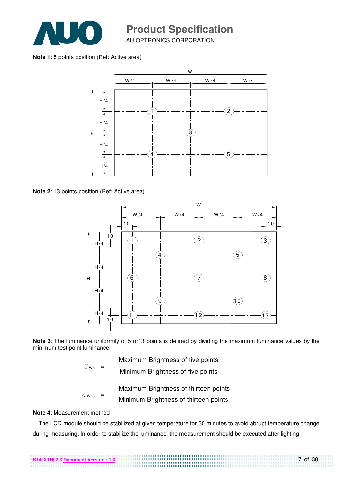

AU OPTRONICS CORPORATION

**Note 1**: 5 points position (Ref: Active area)



**Note 2**: 13 points position (Ref: Active area)



**Note 3**: The luminance uniformity of 5 or13 points is defined by dividing the maximum luminance values by the minimum test point luminance

| $\delta$ W <sub>5</sub>  | Maximum Brightness of five points |                                       |
|--------------------------|-----------------------------------|---------------------------------------|
|                          |                                   | Minimum Brightness of five points     |
|                          |                                   |                                       |
| $\delta$ W <sub>13</sub> |                                   | Maximum Brightness of thirteen points |

#### **Note 4**: Measurement method

The LCD module should be stabilized at given temperature for 30 minutes to avoid abrupt temperature change during measuring. In order to stabilize the luminance, the measurement should be executed after lighting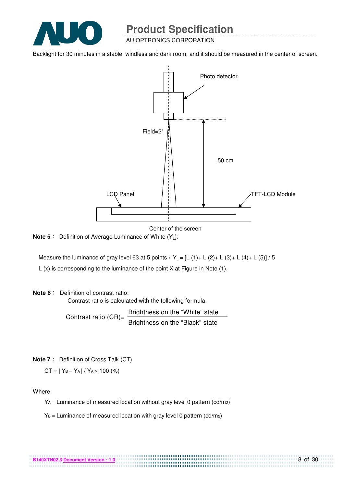

AU OPTRONICS CORPORATION

Backlight for 30 minutes in a stable, windless and dark room, and it should be measured in the center of screen.



Center of the screen

................................

**Note 5** : Definition of Average Luminance of White (Y<sub>L</sub>):

Measure the luminance of gray level 63 at 5 points  $Y_L = [L (1) + L (2) + L (3) + L (4) + L (5)] / 5$ L (x) is corresponding to the luminance of the point X at Figure in Note (1).

#### **Note 6** : Definition of contrast ratio:

Contrast ratio is calculated with the following formula.

Contrast ratio  $(CR)$ = Brightness on the "White" state Brightness on the "Black" state

**Note 7** : Definition of Cross Talk (CT)

 $CT = |Y_B - Y_A| / Y_A \times 100$  (%)

**Where** 

 $Y_A$  = Luminance of measured location without gray level 0 pattern (cd/m<sub>2</sub>)

 $Y_B =$  Luminance of measured location with gray level 0 pattern (cd/m2)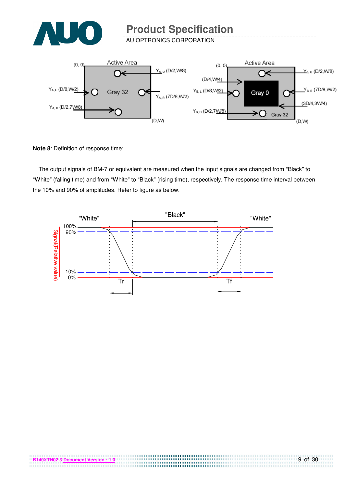

AU OPTRONICS CORPORATION



**Note 8**: Definition of response time:

The output signals of BM-7 or equivalent are measured when the input signals are changed from "Black" to "White" (falling time) and from "White" to "Black" (rising time), respectively. The response time interval between the 10% and 90% of amplitudes. Refer to figure as below.



,,,,,,,,,,,,,,,,,,,,,,,,,,,,,,,,,,,,,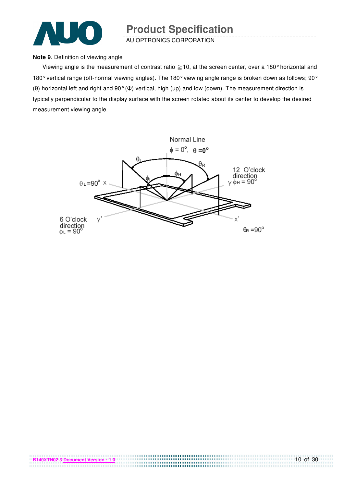

AU OPTRONICS CORPORATION

#### **Note 9**. Definition of viewing angle

Viewing angle is the measurement of contrast ratio  $\geq$  10, at the screen center, over a 180° horizontal and 180° vertical range (off-normal viewing angles). The 180° viewing angle range is broken down as follows; 90° (θ) horizontal left and right and 90° (Φ) vertical, high (up) and low (down). The measurement direction is typically perpendicular to the display surface with the screen rotated about its center to develop the desired measurement viewing angle.

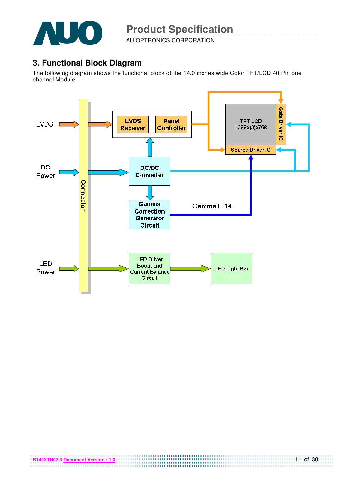

AU OPTRONICS CORPORATION

### **3. Functional Block Diagram**

The following diagram shows the functional block of the 14.0 inches wide Color TFT/LCD 40 Pin one channel Module

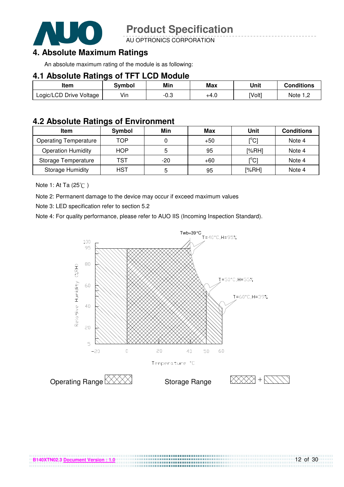

AU OPTRONICS CORPORATION

### **4. Absolute Maximum Ratings**

An absolute maximum rating of the module is as following:

#### **4.1 Absolute Ratings of TFT LCD Module**

| Item                    | Svmbol | Min  | <b>Max</b> | Unit   | Conditions   |
|-------------------------|--------|------|------------|--------|--------------|
| Logic/LCD Drive Voltage | Vin    | -0.3 | +4.U       | [Volt] | Note<br>ے, ا |

#### **4.2 Absolute Ratings of Environment**

| <b>Item</b>                  | Symbol     | Min   | Max   | Unit                                    | <b>Conditions</b> |
|------------------------------|------------|-------|-------|-----------------------------------------|-------------------|
| <b>Operating Temperature</b> | TOP        |       | $+50$ | $\mathsf{I}^\circ\mathsf{C} \mathsf{I}$ | Note 4            |
| <b>Operation Humidity</b>    | <b>HOP</b> | 5     | 95    | [%RH]                                   | Note 4            |
| Storage Temperature          | TST        | $-20$ | $+60$ | $\mathsf{I}^{\circ}$ Cl                 | Note 4            |
| <b>Storage Humidity</b>      | HST        | 5     | 95    | [%RH]                                   | Note 4            |

Note 1: At Ta (25°C)

Note 2: Permanent damage to the device may occur if exceed maximum values

Note 3: LED specification refer to section 5.2

Note 4: For quality performance, please refer to AUO IIS (Incoming Inspection Standard).



....................................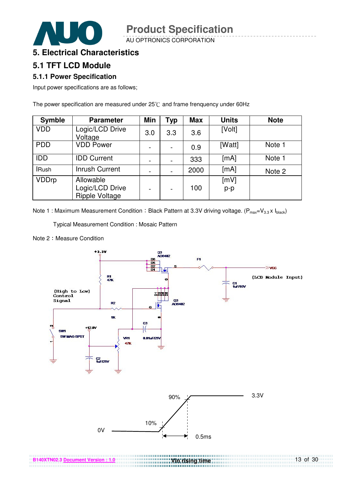AU OPTRONICS CORPORATION

### **5. Electrical Characteristics**

#### **5.1 TFT LCD Module**

#### **5.1.1 Power Specification**

Input power specifications are as follows;

The power specification are measured under  $25^{\circ}$ C and frame frenquency under 60Hz

| <b>Symble</b> | <b>Parameter</b>                                      | <b>Min</b> | <b>Typ</b>               | <b>Max</b> | <b>Units</b> | <b>Note</b> |
|---------------|-------------------------------------------------------|------------|--------------------------|------------|--------------|-------------|
| <b>VDD</b>    | Logic/LCD Drive<br>Voltage                            | 3.0        | 3.3                      | 3.6        | [Volt]       |             |
| <b>PDD</b>    | <b>VDD Power</b>                                      |            | $\overline{\phantom{a}}$ | 0.9        | [Watt]       | Note 1      |
| <b>IDD</b>    | <b>IDD Current</b>                                    |            |                          | 333        | [mA]         | Note 1      |
| <b>IRush</b>  | <b>Inrush Current</b>                                 |            |                          | 2000       | [mA]         | Note 2      |
| <b>VDDrp</b>  | Allowable<br>Logic/LCD Drive<br><b>Ripple Voltage</b> |            |                          | 100        | [mV]<br>p-p  |             |

Note 1 : Maximum Measurement Condition : Black Pattern at 3.3V driving voltage. ( $P_{max}=V_{3.3} \times I_{black}$ )

Typical Measurement Condition : Mosaic Pattern

Note 2: Measure Condition



13 of 30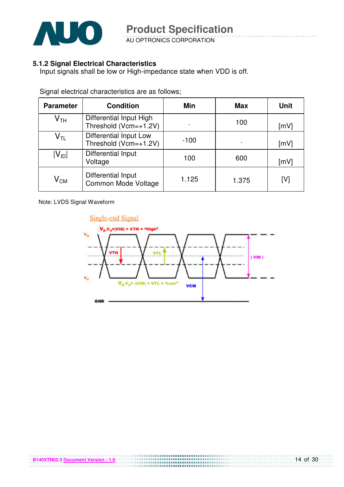

AU OPTRONICS CORPORATION

#### **5.1.2 Signal Electrical Characteristics**

Input signals shall be low or High-impedance state when VDD is off.

| <b>Parameter</b>           | <b>Condition</b>                                 | <b>Min</b> | <b>Max</b> | <b>Unit</b> |
|----------------------------|--------------------------------------------------|------------|------------|-------------|
| $\mathsf{V}_{\mathsf{TH}}$ | Differential Input High<br>Threshold (Vcm=+1.2V) |            | 100        | [mV]        |
| $\mathsf{V}_{\mathsf{TL}}$ | Differential Input Low<br>Threshold (Vcm=+1.2V)  | $-100$     |            | [mV]        |
| $ V_{ID} $                 | Differential Input<br>Voltage                    | 100        | 600        | [mV]        |
| $\mathsf{V}_{\mathsf{CM}}$ | Differential Input<br>Common Mode Voltage        | 1.125      | 1.375      | [V]         |

Signal electrical characteristics are as follows;

Note: LVDS Signal Waveform

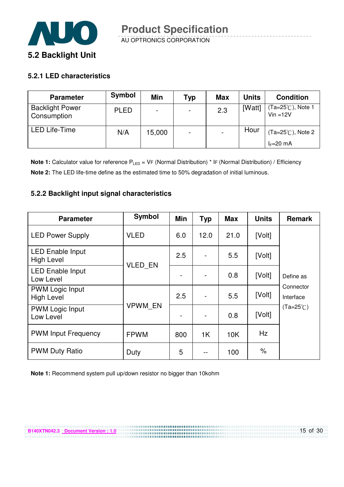

#### **5.2.1 LED characteristics**

| <b>Parameter</b>                      | Symbol      | Min    | Typ                      | <b>Max</b> | <b>Units</b> | <b>Condition</b>                           |
|---------------------------------------|-------------|--------|--------------------------|------------|--------------|--------------------------------------------|
| <b>Backlight Power</b><br>Consumption | <b>PLED</b> |        | $\overline{\phantom{0}}$ | 2.3        | [Watt]       | $(Ta=25^{\circ}$ C), Note 1<br>$Vin = 12V$ |
| <b>LED Life-Time</b>                  | N/A         | 15,000 | $\overline{\phantom{0}}$ |            | Hour         | $(Ta=25^{\circ}C)$ , Note 2                |
|                                       |             |        |                          |            |              | $I_F=20$ mA                                |

**Note 1:** Calculator value for reference P<sub>LED</sub> = VF (Normal Distribution) \* IF (Normal Distribution) / Efficiency **Note 2:** The LED life-time define as the estimated time to 50% degradation of initial luminous.

#### **5.2.2 Backlight input signal characteristics**

| <b>Parameter</b>                             | Symbol         | <b>Min</b> | <b>Typ</b>     | <b>Max</b> | <b>Units</b> | <b>Remark</b>          |
|----------------------------------------------|----------------|------------|----------------|------------|--------------|------------------------|
| <b>LED Power Supply</b>                      | <b>VLED</b>    | 6.0        | 12.0           | 21.0       | [Volt]       |                        |
| <b>LED Enable Input</b><br><b>High Level</b> |                | 2.5        | $\blacksquare$ | 5.5        | [Volt]       |                        |
| <b>LED Enable Input</b><br>Low Level         | VLED_EN        |            |                | 0.8        | [Volt]       | Define as              |
| <b>PWM Logic Input</b><br><b>High Level</b>  |                | 2.5        |                | 5.5        | [Volt]       | Connector<br>Interface |
| PWM Logic Input<br>Low Level                 | <b>VPWM EN</b> |            | $\blacksquare$ | 0.8        | [Volt]       | $(Ta=25^{\circ}C)$     |
| <b>PWM Input Frequency</b>                   | <b>FPWM</b>    | 800        | 1K             | 10K        | Hz           |                        |
| <b>PWM Duty Ratio</b>                        | Duty           | 5          |                | 100        | %            |                        |

,,,,,,,,,,,,,,,,,,,,,,,,,,,,,,

**Note 1:** Recommend system pull up/down resistor no bigger than 10kohm

**B140XTN042.3 Document Version : 1.0**

15 of 30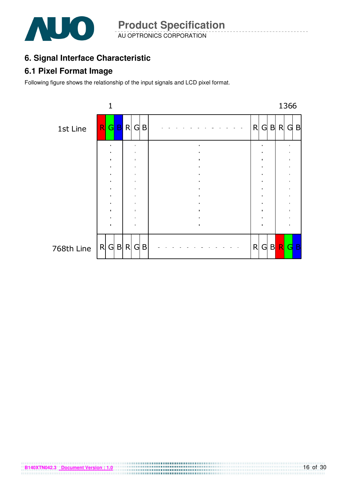

AU OPTRONICS CORPORATION **Product Specification** 

### **6. Signal Interface Characteristic**

### **6.1 Pixel Format Image**

Following figure shows the relationship of the input signals and LCD pixel format.

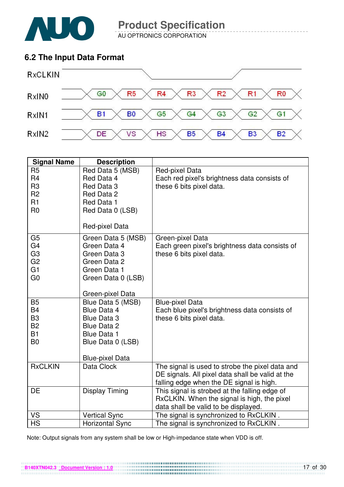

AU OPTRONICS CORPORATION

### **6.2 The Input Data Format**



| <b>Signal Name</b> | <b>Description</b>     |                                                  |
|--------------------|------------------------|--------------------------------------------------|
| R <sub>5</sub>     | Red Data 5 (MSB)       | Red-pixel Data                                   |
| R <sub>4</sub>     | Red Data 4             | Each red pixel's brightness data consists of     |
| R <sub>3</sub>     | Red Data 3             | these 6 bits pixel data.                         |
| R <sub>2</sub>     | Red Data 2             |                                                  |
| R1                 | Red Data 1             |                                                  |
| R <sub>0</sub>     | Red Data 0 (LSB)       |                                                  |
|                    | Red-pixel Data         |                                                  |
| G <sub>5</sub>     | Green Data 5 (MSB)     | Green-pixel Data                                 |
| G <sub>4</sub>     | Green Data 4           | Each green pixel's brightness data consists of   |
| G <sub>3</sub>     | Green Data 3           | these 6 bits pixel data.                         |
| G <sub>2</sub>     | Green Data 2           |                                                  |
| G <sub>1</sub>     | Green Data 1           |                                                  |
| G <sub>0</sub>     | Green Data 0 (LSB)     |                                                  |
|                    | Green-pixel Data       |                                                  |
| <b>B5</b>          | Blue Data 5 (MSB)      | <b>Blue-pixel Data</b>                           |
| <b>B4</b>          | Blue Data 4            | Each blue pixel's brightness data consists of    |
| B <sub>3</sub>     | <b>Blue Data 3</b>     | these 6 bits pixel data.                         |
| <b>B2</b>          | <b>Blue Data 2</b>     |                                                  |
| <b>B1</b>          | <b>Blue Data 1</b>     |                                                  |
| B <sub>0</sub>     | Blue Data 0 (LSB)      |                                                  |
|                    | <b>Blue-pixel Data</b> |                                                  |
| <b>RxCLKIN</b>     | Data Clock             | The signal is used to strobe the pixel data and  |
|                    |                        | DE signals. All pixel data shall be valid at the |
|                    |                        | falling edge when the DE signal is high.         |
| <b>DE</b>          | <b>Display Timing</b>  | This signal is strobed at the falling edge of    |
|                    |                        | RxCLKIN. When the signal is high, the pixel      |
|                    |                        | data shall be valid to be displayed.             |
| VS                 | <b>Vertical Sync</b>   | The signal is synchronized to RxCLKIN.           |
| <b>HS</b>          | <b>Horizontal Sync</b> | The signal is synchronized to RxCLKIN.           |

Note: Output signals from any system shall be low or High-impedance state when VDD is off.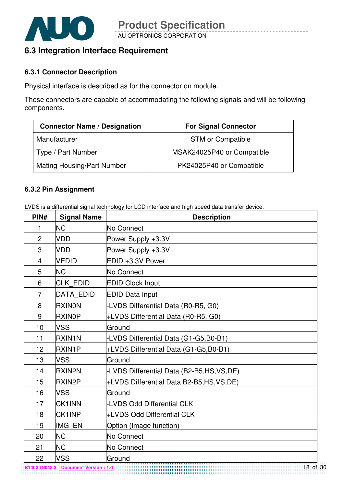

### **6.3 Integration Interface Requirement**

#### **6.3.1 Connector Description**

Physical interface is described as for the connector on module.

These connectors are capable of accommodating the following signals and will be following components.

| <b>Connector Name / Designation</b> | <b>For Signal Connector</b> |
|-------------------------------------|-----------------------------|
| Manufacturer                        | <b>STM or Compatible</b>    |
| Type / Part Number                  | MSAK24025P40 or Compatible  |
| Mating Housing/Part Number          | PK24025P40 or Compatible    |

#### **6.3.2 Pin Assignment**

LVDS is a differential signal technology for LCD interface and high speed data transfer device.

| PIN#           | <b>Signal Name</b> | <b>Description</b>                         |
|----------------|--------------------|--------------------------------------------|
| 1              | <b>NC</b>          | No Connect                                 |
| $\overline{2}$ | <b>VDD</b>         | Power Supply +3.3V                         |
| 3              | <b>VDD</b>         | Power Supply +3.3V                         |
| $\overline{4}$ | <b>VEDID</b>       | EDID +3.3V Power                           |
| 5              | <b>NC</b>          | No Connect                                 |
| 6              | <b>CLK EDID</b>    | <b>EDID Clock Input</b>                    |
| $\overline{7}$ | <b>DATA EDID</b>   | <b>EDID Data Input</b>                     |
| 8              | <b>RXINON</b>      | -LVDS Differential Data (R0-R5, G0)        |
| 9              | <b>RXINOP</b>      | +LVDS Differential Data (R0-R5, G0)        |
| 10             | <b>VSS</b>         | Ground                                     |
| 11             | <b>RXIN1N</b>      | -LVDS Differential Data (G1-G5,B0-B1)      |
| 12             | <b>RXIN1P</b>      | +LVDS Differential Data (G1-G5,B0-B1)      |
| 13             | <b>VSS</b>         | lGround                                    |
| 14             | <b>RXIN2N</b>      | -LVDS Differential Data (B2-B5,HS,VS,DE)   |
| 15             | <b>RXIN2P</b>      | +LVDS Differential Data B2-B5, HS, VS, DE) |
| 16             | <b>VSS</b>         | Ground                                     |
| 17             | <b>CK1INN</b>      | <b>LVDS Odd Differential CLK</b>           |
| 18             | <b>CK1INP</b>      | +LVDS Odd Differential CLK                 |
| 19             | <b>IMG EN</b>      | Option (Image function)                    |
| 20             | <b>NC</b>          | No Connect                                 |
| 21             | <b>NC</b>          | No Connect                                 |
| 22             | <b>VSS</b>         | Ground                                     |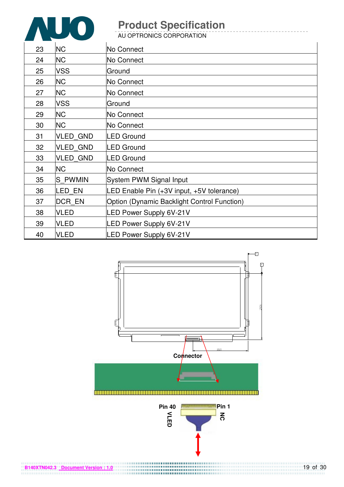

| 23 | <b>NC</b>       | No Connect                                         |
|----|-----------------|----------------------------------------------------|
| 24 | <b>NC</b>       | No Connect                                         |
| 25 | <b>VSS</b>      | Ground                                             |
| 26 | <b>NC</b>       | No Connect                                         |
| 27 | <b>NC</b>       | No Connect                                         |
| 28 | <b>VSS</b>      | Ground                                             |
| 29 | <b>NC</b>       | No Connect                                         |
| 30 | <b>NC</b>       | No Connect                                         |
| 31 | <b>VLED GND</b> | LED Ground                                         |
| 32 | <b>VLED GND</b> | <b>LED Ground</b>                                  |
| 33 | <b>VLED GND</b> | <b>LED Ground</b>                                  |
| 34 | <b>NC</b>       | No Connect                                         |
| 35 | S PWMIN         | System PWM Signal Input                            |
| 36 | LED EN          | LED Enable Pin (+3V input, +5V tolerance)          |
| 37 | <b>DCR EN</b>   | <b>Option (Dynamic Backlight Control Function)</b> |
| 38 | <b>VLED</b>     | LED Power Supply 6V-21V                            |
| 39 | <b>VLED</b>     | LED Power Supply 6V-21V                            |
| 40 | <b>VLED</b>     | <b>LED Power Supply 6V-21V</b>                     |

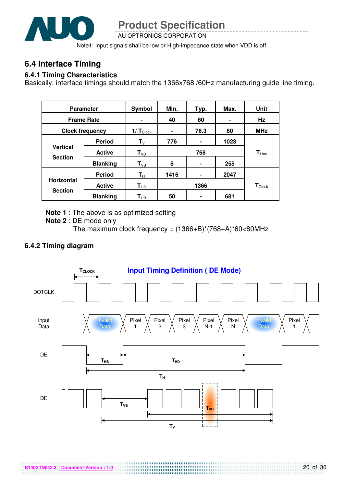

AU OPTRONICS CORPORATION

Note1: Input signals shall be low or High-impedance state when VDD is off.

### **6.4 Interface Timing**

#### **6.4.1 Timing Characteristics**

Basically, interface timings should match the 1366x768 /60Hz manufacturing guide line timing.

| <b>Parameter</b>                  |                 | <b>Symbol</b>                 | Min. | Typ. | Max. | Unit                        |
|-----------------------------------|-----------------|-------------------------------|------|------|------|-----------------------------|
| <b>Frame Rate</b>                 |                 |                               | 40   | 60   |      | Hz                          |
| <b>Clock frequency</b>            |                 | $1/\mathbf{T}_{\text{Clock}}$ | ۰    | 76.3 | 80   | <b>MHz</b>                  |
|                                   | <b>Period</b>   | ${\sf T}_\lor$                | 776  | ۰    | 1023 |                             |
| <b>Vertical</b><br><b>Section</b> | <b>Active</b>   | $T_{VD}$                      | 768  |      |      | $T_{Line}$                  |
|                                   | <b>Blanking</b> | $\mathsf{T}_{\text{VB}}$      | 8    | ٠    | 255  |                             |
|                                   | <b>Period</b>   | $\mathsf{T}_\mathsf{H}$       | 1416 | ۰    | 2047 |                             |
| <b>Horizontal</b>                 | <b>Active</b>   | $T_{HD}$                      | 1366 |      |      | $\mathbf{T}_{\text{Clock}}$ |
| <b>Section</b>                    | <b>Blanking</b> | $\textsf{T}_{\sf HB}$         | 50   | ۰    | 681  |                             |

**Note 1** : The above is as optimized setting

**Note 2** : DE mode only

The maximum clock frequency =  $(1366+B)^*(768+A)^*60<80MHz$ 

#### **6.4.2 Timing diagram**

**B140XTN042.3 Document Version : 1.0**

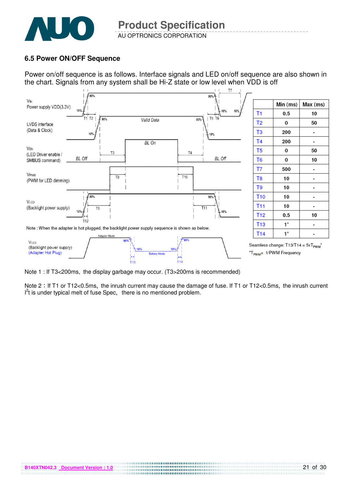

#### **6.5 Power ON/OFF Sequence**

**B140XTN042.3 Document Version : 1.0**

Power on/off sequence is as follows. Interface signals and LED on/off sequence are also shown in the chart. Signals from any system shall be Hi-Z state or low level when VDD is off



Note 1 : If T3<200ms, the display garbage may occur. (T3>200ms is recommended)

Note 2: If T1 or T12<0.5ms, the inrush current may cause the damage of fuse. If T1 or T12<0.5ms, the inrush current  $I<sup>2</sup>t$  is under typical melt of fuse Spec, there is no mentioned problem.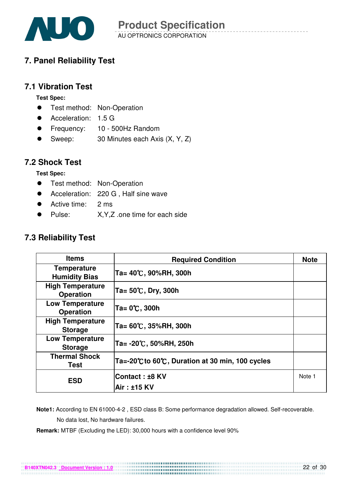

### **7. Panel Reliability Test**

### **7.1 Vibration Test**

**Test Spec:** 

- **•** Test method: Non-Operation
- Acceleration: 1.5 G
- Frequency: 10 500Hz Random
- Sweep: 30 Minutes each Axis (X, Y, Z)

#### **7.2 Shock Test**

**Test Spec:** 

- **•** Test method: Non-Operation
- Acceleration: 220 G, Half sine wave
- Active time: 2 ms
- Pulse: X, Y, Z .one time for each side

### **7.3 Reliability Test**

| <b>Items</b>                                | <b>Required Condition</b>                        | <b>Note</b> |
|---------------------------------------------|--------------------------------------------------|-------------|
| <b>Temperature</b><br><b>Humidity Bias</b>  | Ta= 40℃, 90%RH, 300h                             |             |
| <b>High Temperature</b><br><b>Operation</b> | $Ta = 50^{\circ}C$ , Dry, 300h                   |             |
| <b>Low Temperature</b><br><b>Operation</b>  | Ta= 0℃, 300h                                     |             |
| <b>High Temperature</b><br><b>Storage</b>   | Ta= 60℃, 35%RH, 300h                             |             |
| <b>Low Temperature</b><br><b>Storage</b>    | Ta= -20℃, 50%RH, 250h                            |             |
| <b>Thermal Shock</b><br>Test                | Ta=-20°C to 60°C, Duration at 30 min, 100 cycles |             |
| <b>ESD</b>                                  | Contact: ±8 KV                                   | Note 1      |
|                                             | Air: ±15 KV                                      |             |

 **Note1:** According to EN 61000-4-2 , ESD class B: Some performance degradation allowed. Self-recoverable. No data lost, No hardware failures.

**Remark:** MTBF (Excluding the LED): 30,000 hours with a confidence level 90%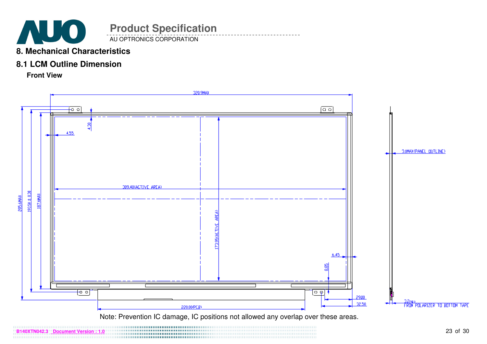

#### **8. Mechanical Characteristics**

#### **8.1 LCM Outline Dimension**

**Front View**



Note: Prevention IC damage, IC positions not allowed any overlap over these areas.

**B140XTN042.3 Document Version : 1.0**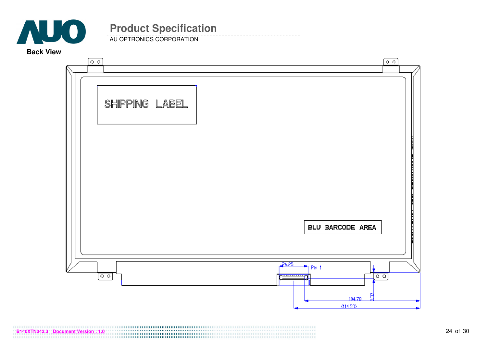

AU OPTRONICS CORPORATION

**Back View** 

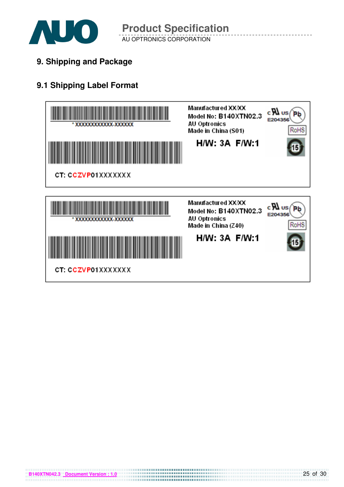

AU OPTRONICS CORPORATION **Product Specification** 

**9. Shipping and Package**

### **9.1 Shipping Label Format**



**B140XTN042.3 Document Version : 1.0**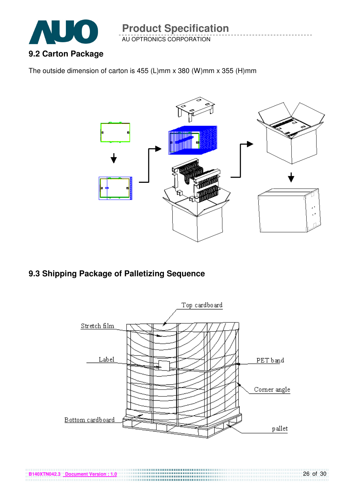

AU OPTRONICS CORPORATION

The outside dimension of carton is 455 (L)mm x 380 (W)mm x 355 (H)mm



### **9.3 Shipping Package of Palletizing Sequence**

**B140XTN042.3 Document Version : 1.0**

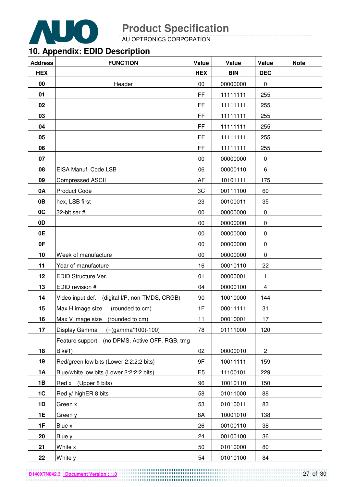

AU OPTRONICS CORPORATION

### **10. Appendix: EDID Description**

| <b>Address</b> | <b>FUNCTION</b>                                | Value          | Value      | Value          | <b>Note</b> |
|----------------|------------------------------------------------|----------------|------------|----------------|-------------|
| <b>HEX</b>     |                                                | <b>HEX</b>     | <b>BIN</b> | <b>DEC</b>     |             |
| 00             | Header                                         | 00             | 00000000   | $\pmb{0}$      |             |
| 01             |                                                | FF             | 11111111   | 255            |             |
| 02             |                                                | FF             | 11111111   | 255            |             |
| 03             |                                                | FF             | 11111111   | 255            |             |
| 04             |                                                | FF             | 11111111   | 255            |             |
| 05             |                                                | FF             | 11111111   | 255            |             |
| 06             |                                                | FF             | 11111111   | 255            |             |
| 07             |                                                | 00             | 00000000   | 0              |             |
| 08             | EISA Manuf. Code LSB                           | 06             | 00000110   | 6              |             |
| 09             | <b>Compressed ASCII</b>                        | AF             | 10101111   | 175            |             |
| 0A             | <b>Product Code</b>                            | 3C             | 00111100   | 60             |             |
| 0B             | hex, LSB first                                 | 23             | 00100011   | 35             |             |
| 0 <sup>C</sup> | 32-bit ser #                                   | 00             | 00000000   | 0              |             |
| 0D             |                                                | 00             | 00000000   | $\pmb{0}$      |             |
| 0E             |                                                | 00             | 00000000   | 0              |             |
| 0F             |                                                | 00             | 00000000   | 0              |             |
| 10             | Week of manufacture                            | 00             | 00000000   | 0              |             |
| 11             | Year of manufacture                            | 16             | 00010110   | 22             |             |
| 12             | EDID Structure Ver.                            | 01             | 00000001   | 1              |             |
| 13             | EDID revision #                                | 04             | 00000100   | 4              |             |
| 14             | Video input def. (digital I/P, non-TMDS, CRGB) | 90             | 10010000   | 144            |             |
| 15             | Max H image size<br>(rounded to cm)            | 1F             | 00011111   | 31             |             |
| 16             | Max V image size<br>(rounded to cm)            | 11             | 00010001   | 17             |             |
| 17             | Display Gamma $(=(\text{gamma}^*100)-100)$     | 78             | 01111000   | 120            |             |
|                | Feature support (no DPMS, Active OFF, RGB, tmg |                |            |                |             |
| 18             | <b>Blk#1)</b>                                  | 02             | 00000010   | $\overline{c}$ |             |
| 19             | Red/green low bits (Lower 2:2:2:2 bits)        | 9F             | 10011111   | 159            |             |
| <b>1A</b>      | Blue/white low bits (Lower 2:2:2:2 bits)       | E <sub>5</sub> | 11100101   | 229            |             |
| 1B             | Red x (Upper 8 bits)                           | 96             | 10010110   | 150            |             |
| 1C             | Red y/ highER 8 bits                           | 58             | 01011000   | 88             |             |
| 1D             | Green x                                        | 53             | 01010011   | 83             |             |
| <b>1E</b>      | Green y                                        | 8A             | 10001010   | 138            |             |
| 1F             | Blue x                                         | 26             | 00100110   | 38             |             |
| 20             | Blue y                                         | 24             | 00100100   | 36             |             |
| 21             | White x                                        | 50             | 01010000   | 80             |             |
| 22             | White y                                        | 54             | 01010100   | 84             |             |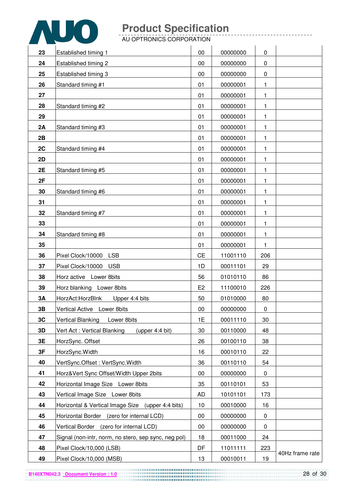

| 23 | Established timing 1                                 | 00             | 00000000 | $\pmb{0}$ |                 |
|----|------------------------------------------------------|----------------|----------|-----------|-----------------|
| 24 | Established timing 2                                 | 00             | 00000000 | $\pmb{0}$ |                 |
| 25 | Established timing 3                                 | 00             | 00000000 | $\pmb{0}$ |                 |
| 26 | Standard timing #1                                   | 01             | 00000001 | 1         |                 |
| 27 |                                                      | 01             | 00000001 | 1         |                 |
| 28 | Standard timing #2                                   | 01             | 00000001 | 1         |                 |
| 29 |                                                      | 01             | 00000001 | 1         |                 |
| 2A | Standard timing #3                                   | 01             | 00000001 | 1         |                 |
| 2B |                                                      | 01             | 00000001 | 1         |                 |
| 2C | Standard timing #4                                   | 01             | 00000001 | 1         |                 |
| 2D |                                                      | 01             | 00000001 | 1         |                 |
| 2E | Standard timing #5                                   | 01             | 00000001 | 1         |                 |
| 2F |                                                      | 01             | 00000001 | 1         |                 |
| 30 | Standard timing #6                                   | 01             | 00000001 | 1         |                 |
| 31 |                                                      | 01             | 00000001 | 1         |                 |
| 32 | Standard timing #7                                   | 01             | 00000001 | 1         |                 |
| 33 |                                                      | 01             | 00000001 | 1         |                 |
| 34 | Standard timing #8                                   | 01             | 00000001 | 1         |                 |
| 35 |                                                      | 01             | 00000001 | 1         |                 |
| 36 | <b>LSB</b><br>Pixel Clock/10000                      | <b>CE</b>      | 11001110 | 206       |                 |
| 37 | Pixel Clock/10000<br><b>USB</b>                      | 1D             | 00011101 | 29        |                 |
| 38 | Horz active Lower 8bits                              | 56             | 01010110 | 86        |                 |
| 39 | Horz blanking Lower 8bits                            | E <sub>2</sub> | 11100010 | 226       |                 |
| 3A | HorzAct:HorzBlnk<br>Upper 4:4 bits                   | 50             | 01010000 | 80        |                 |
| 3B | Vertical Active Lower 8bits                          | $00\,$         | 00000000 | $\pmb{0}$ |                 |
| 3C | Vertical Blanking  Lower 8bits                       | 1E             | 00011110 | 30        |                 |
| 3D | Vert Act: Vertical Blanking<br>(upper $4:4$ bit)     | 30             | 00110000 | 48        |                 |
| 3E | HorzSync. Offset                                     | 26             | 00100110 | 38        |                 |
| 3F | HorzSync. Width                                      | 16             | 00010110 | 22        |                 |
| 40 | VertSync.Offset: VertSync.Width                      | 36             | 00110110 | 54        |                 |
| 41 | Horz‖ Sync Offset/Width Upper 2bits                  | 00             | 00000000 | 0         |                 |
| 42 | Horizontal Image Size Lower 8bits                    | 35             | 00110101 | 53        |                 |
| 43 | Vertical Image Size Lower 8bits                      | <b>AD</b>      | 10101101 | 173       |                 |
| 44 | Horizontal & Vertical Image Size (upper 4:4 bits)    | 10             | 00010000 | 16        |                 |
| 45 | Horizontal Border (zero for internal LCD)            | 00             | 00000000 | 0         |                 |
| 46 | Vertical Border (zero for internal LCD)              | 00             | 00000000 | 0         |                 |
| 47 | Signal (non-intr, norm, no stero, sep sync, neg pol) | 18             | 00011000 | 24        |                 |
| 48 | Pixel Clock/10,000 (LSB)                             | DF             | 11011111 | 223       |                 |
| 49 | Pixel Clock/10,000 (MSB)                             | 13             | 00010011 | 19        | 40Hz frame rate |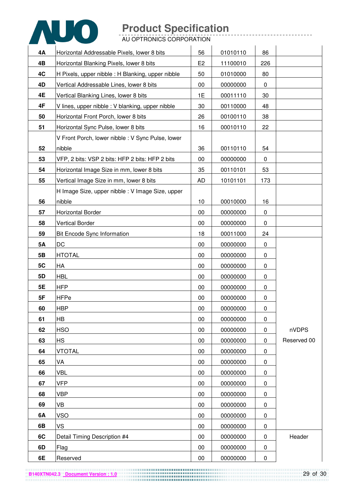

| 4Α        | Horizontal Addressable Pixels, lower 8 bits       | 56             | 01010110 | 86        |             |
|-----------|---------------------------------------------------|----------------|----------|-----------|-------------|
| 4B        | Horizontal Blanking Pixels, lower 8 bits          | E <sub>2</sub> | 11100010 | 226       |             |
| 4C        | H Pixels, upper nibble : H Blanking, upper nibble | 50             | 01010000 | 80        |             |
| 4D        | Vertical Addressable Lines, lower 8 bits          | 00             | 00000000 | 0         |             |
| 4E        | Vertical Blanking Lines, lower 8 bits             | 1E             | 00011110 | 30        |             |
| 4F        | V lines, upper nibble : V blanking, upper nibble  | 30             | 00110000 | 48        |             |
| 50        | Horizontal Front Porch, lower 8 bits              | 26             | 00100110 | 38        |             |
| 51        | Horizontal Sync Pulse, lower 8 bits               | 16             | 00010110 | 22        |             |
|           | V Front Porch, lower nibble : V Sync Pulse, lower |                |          |           |             |
| 52        | nibble                                            | 36             | 00110110 | 54        |             |
| 53        | VFP, 2 bits: VSP 2 bits: HFP 2 bits: HFP 2 bits   | 00             | 00000000 | 0         |             |
| 54        | Horizontal Image Size in mm, lower 8 bits         | 35             | 00110101 | 53        |             |
| 55        | Vertical Image Size in mm, lower 8 bits           | <b>AD</b>      | 10101101 | 173       |             |
|           | H Image Size, upper nibble : V Image Size, upper  |                |          |           |             |
| 56        | nibble                                            | 10             | 00010000 | 16        |             |
| 57        | <b>Horizontal Border</b>                          | 00             | 00000000 | 0         |             |
| 58        | <b>Vertical Border</b>                            | 00             | 00000000 | 0         |             |
| 59        | Bit Encode Sync Information                       | 18             | 00011000 | 24        |             |
| <b>5A</b> | DC                                                | 00             | 00000000 | 0         |             |
| 5B        | <b>HTOTAL</b>                                     | 00             | 00000000 | 0         |             |
| 5C        | HA                                                | 00             | 00000000 | 0         |             |
| 5D        | <b>HBL</b>                                        | 00             | 00000000 | 0         |             |
| 5E        | <b>HFP</b>                                        | 00             | 00000000 | 0         |             |
| 5F        | <b>HFPe</b>                                       | 00             | 00000000 | 0         |             |
| 60        | <b>HBP</b>                                        | 00             | 00000000 | $\pmb{0}$ |             |
| 61        | <b>HB</b>                                         | 00             | 00000000 | 0         |             |
| 62        | <b>HSO</b>                                        | 00             | 00000000 | 0         | nVDPS       |
| 63        | <b>HS</b>                                         | 00             | 00000000 | 0         | Reserved 00 |
| 64        | VTOTAL                                            | 00             | 00000000 | 0         |             |
| 65        | VA                                                | 00             | 00000000 | 0         |             |
| 66        | VBL                                               | 00             | 00000000 | 0         |             |
| 67        | VFP                                               | 00             | 00000000 | 0         |             |
| 68        | <b>VBP</b>                                        | 00             | 00000000 | 0         |             |
| 69        | VB                                                | 00             | 00000000 | 0         |             |
| 6A        | VSO                                               | 00             | 00000000 | 0         |             |
| 6B        | VS                                                | 00             | 00000000 | 0         |             |
| 6C        | Detail Timing Description #4                      | 00             | 00000000 | 0         | Header      |
| 6D        | Flag                                              | 00             | 00000000 | 0         |             |
| 6E        | Reserved                                          | 00             | 00000000 | $\pmb{0}$ |             |